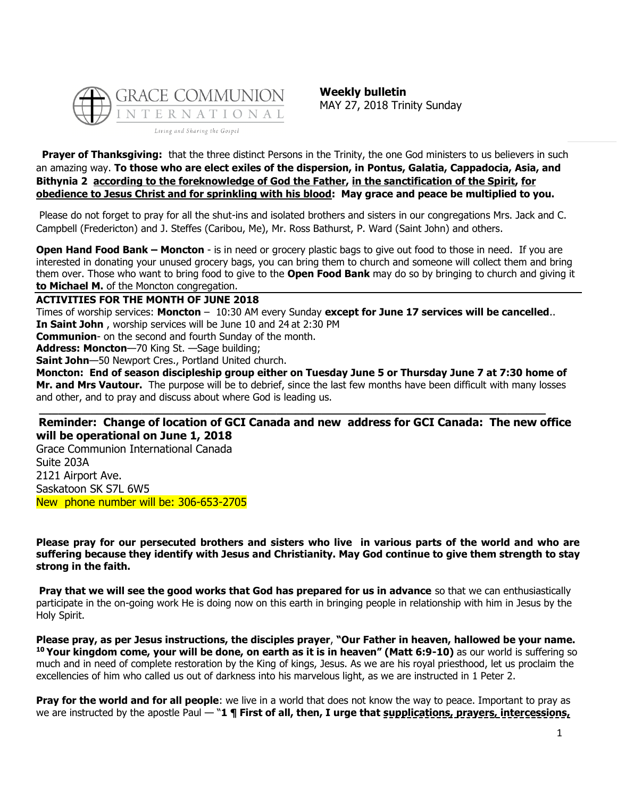

**Prayer of Thanksgiving:** that the three distinct Persons in the Trinity, the one God ministers to us believers in such an amazing way. **To those who are elect exiles of the dispersion, in Pontus, Galatia, Cappadocia, Asia, and Bithynia 2 according to the foreknowledge of God the Father, in the sanctification of the Spirit, for obedience to Jesus Christ and for sprinkling with his blood: May grace and peace be multiplied to you.**

Please do not forget to pray for all the shut-ins and isolated brothers and sisters in our congregations Mrs. Jack and C. Campbell (Fredericton) and J. Steffes (Caribou, Me), Mr. Ross Bathurst, P. Ward (Saint John) and others.

**Open Hand Food Bank – Moncton** - is in need or grocery plastic bags to give out food to those in need. If you are interested in donating your unused grocery bags, you can bring them to church and someone will collect them and bring them over. Those who want to bring food to give to the **Open Food Bank** may do so by bringing to church and giving it **to Michael M.** of the Moncton congregation.

**ACTIVITIES FOR THE MONTH OF JUNE 2018**

Times of worship services: **Moncton** – 10:30 AM every Sunday **except for June 17 services will be cancelled**.. **In Saint John** , worship services will be June 10 and 24 at 2:30 PM

**Communion**- on the second and fourth Sunday of the month.

**Address: Moncton**—70 King St. —Sage building;

**Saint John**—50 Newport Cres., Portland United church.

**Moncton: End of season discipleship group either on Tuesday June 5 or Thursday June 7 at 7:30 home of Mr. and Mrs Vautour.** The purpose will be to debrief, since the last few months have been difficult with many losses and other, and to pray and discuss about where God is leading us.

**\_\_\_\_\_\_\_\_\_\_\_\_\_\_\_\_\_\_\_\_\_\_\_\_\_\_\_\_\_\_\_\_\_\_\_\_\_\_\_\_\_\_\_\_\_\_\_\_\_\_\_\_\_\_\_\_\_\_\_\_\_\_\_\_\_\_\_\_\_\_\_\_\_\_\_\_\_\_\_**

## **Reminder: Change of location of GCI Canada and new address for GCI Canada: The new office will be operational on June 1, 2018**

Grace Communion International Canada Suite 203A 2121 Airport Ave. Saskatoon SK S7L 6W5 New phone number will be: 306-653-2705

**Please pray for our persecuted brothers and sisters who live in various parts of the world and who are suffering because they identify with Jesus and Christianity. May God continue to give them strength to stay strong in the faith.** 

**Pray that we will see the good works that God has prepared for us in advance** so that we can enthusiastically participate in the on-going work He is doing now on this earth in bringing people in relationship with him in Jesus by the Holy Spirit.

**Please pray, as per Jesus instructions, the disciples prayer**, **"Our Father in heaven, hallowed be your name. <sup>10</sup> Your kingdom come, your will be done, on earth as it is in heaven" (Matt 6:9-10)** as our world is suffering so much and in need of complete restoration by the King of kings, Jesus. As we are his royal priesthood, let us proclaim the excellencies of him who called us out of darkness into his marvelous light, as we are instructed in 1 Peter 2.

**Pray for the world and for all people**: we live in a world that does not know the way to peace. Important to pray as we are instructed by the apostle Paul — "1 **¶ First of all, then, I urge that supplications, prayers, intercessions,**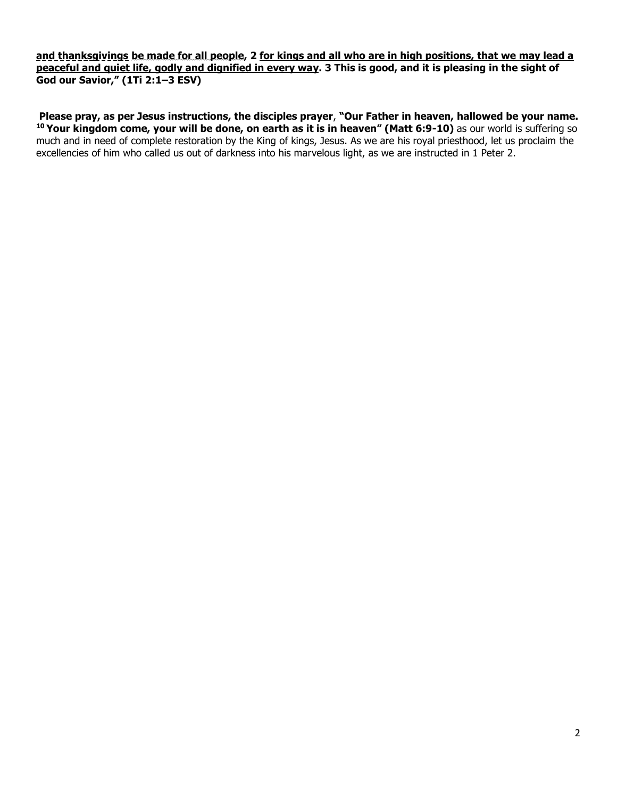**and thanksgivings be made for all people, 2 for kings and all who are in high positions, that we may lead a peaceful and quiet life, godly and dignified in every way. 3 This is good, and it is pleasing in the sight of God our Savior," (1Ti 2:1–3 ESV)**

**Please pray, as per Jesus instructions, the disciples prayer**, **"Our Father in heaven, hallowed be your name. <sup>10</sup> Your kingdom come, your will be done, on earth as it is in heaven" (Matt 6:9-10)** as our world is suffering so much and in need of complete restoration by the King of kings, Jesus. As we are his royal priesthood, let us proclaim the excellencies of him who called us out of darkness into his marvelous light, as we are instructed in 1 Peter 2.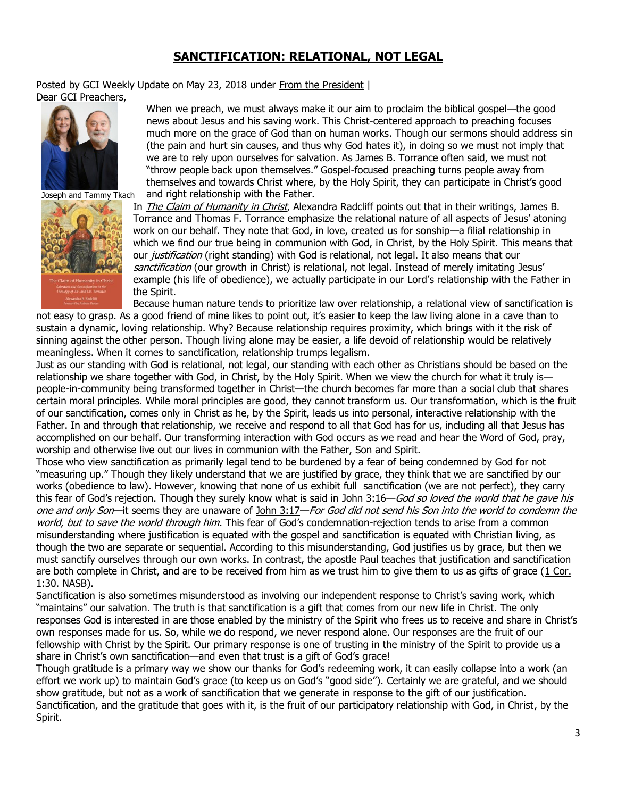## **[SANCTIFICATION: RELATIONAL, NOT LEGAL](https://update.gci.org/2018/05/sanctification-relational-not-legal/)**

Posted by GCI Weekly Update on May 23, 2018 under [From the President](https://update.gci.org/category/president/) | Dear GCI Preachers,





When we preach, we must always make it our aim to proclaim the biblical gospel—the good news about Jesus and his saving work. This Christ-centered approach to preaching focuses much more on the grace of God than on human works. Though our sermons should address sin (the pain and hurt sin causes, and thus why God hates it), in doing so we must not imply that we are to rely upon ourselves for salvation. As James B. Torrance often said, we must not "throw people back upon themselves." Gospel-focused preaching turns people away from themselves and towards Christ where, by the Holy Spirit, they can participate in Christ's good and right relationship with the Father.

In [The Claim of Humanity in Christ](https://books.google.com/books?id=vYMwDwAAQBAJ&printsec=frontcover#v=onepage&q&f=false), Alexandra Radcliff points out that in their writings, James B. Torrance and Thomas F. Torrance emphasize the relational nature of all aspects of Jesus' atoning work on our behalf. They note that God, in love, created us for sonship—a filial relationship in which we find our true being in communion with God, in Christ, by the Holy Spirit. This means that our *justification* (right standing) with God is relational, not legal. It also means that our sanctification (our growth in Christ) is relational, not legal. Instead of merely imitating Jesus' example (his life of obedience), we actually participate in our Lord's relationship with the Father in the Spirit.

Because human nature tends to prioritize law over relationship, a relational view of sanctification is not easy to grasp. As a good friend of mine likes to point out, it's easier to keep the law living alone in a cave than to sustain a dynamic, loving relationship. Why? Because relationship requires proximity, which brings with it the risk of sinning against the other person. Though living alone may be easier, a life devoid of relationship would be relatively meaningless. When it comes to sanctification, relationship trumps legalism.

Just as our standing with God is relational, not legal, our standing with each other as Christians should be based on the relationship we share together with God, in Christ, by the Holy Spirit. When we view the church for what it truly is people-in-community being transformed together in Christ—the church becomes far more than a social club that shares certain moral principles. While moral principles are good, they cannot transform us. Our transformation, which is the fruit of our sanctification, comes only in Christ as he, by the Spirit, leads us into personal, interactive relationship with the Father. In and through that relationship, we receive and respond to all that God has for us, including all that Jesus has accomplished on our behalf. Our transforming interaction with God occurs as we read and hear the Word of God, pray, worship and otherwise live out our lives in communion with the Father, Son and Spirit.

Those who view sanctification as primarily legal tend to be burdened by a fear of being condemned by God for not "measuring up." Though they likely understand that we are justified by grace, they think that we are sanctified by our works (obedience to law). However, knowing that none of us exhibit full sanctification (we are not perfect), they carry this fear of God's rejection. Though they surely know what is said in [John 3:16](https://biblia.com/bible/niv/John%203.16)–God so loved the world that he gave his one and only Son—it seems they are unaware of [John 3:17](https://biblia.com/bible/niv/John%203.17)—For God did not send his Son into the world to condemn the world, but to save the world through him. This fear of God's condemnation-rejection tends to arise from a common misunderstanding where justification is equated with the gospel and sanctification is equated with Christian living, as though the two are separate or sequential. According to this misunderstanding, God justifies us by grace, but then we must sanctify ourselves through our own works. In contrast, the apostle Paul teaches that justification and sanctification are both complete in Christ, and are to be received from him as we trust him to give them to us as gifts of grace [\(1 Cor.](https://biblia.com/bible/nasb95/1%20Cor.%201.30)  [1:30. NASB\)](https://biblia.com/bible/nasb95/1%20Cor.%201.30).

Sanctification is also sometimes misunderstood as involving our independent response to Christ's saving work, which "maintains" our salvation. The truth is that sanctification is a gift that comes from our new life in Christ. The only responses God is interested in are those enabled by the ministry of the Spirit who frees us to receive and share in Christ's own responses made for us. So, while we do respond, we never respond alone. Our responses are the fruit of our fellowship with Christ by the Spirit. Our primary response is one of trusting in the ministry of the Spirit to provide us a share in Christ's own sanctification—and even that trust is a gift of God's grace!

Though gratitude is a primary way we show our thanks for God's redeeming work, it can easily collapse into a work (an effort we work up) to maintain God's grace (to keep us on God's "good side"). Certainly we are grateful, and we should show gratitude, but not as a work of sanctification that we generate in response to the gift of our justification. Sanctification, and the gratitude that goes with it, is the fruit of our participatory relationship with God, in Christ, by the Spirit.